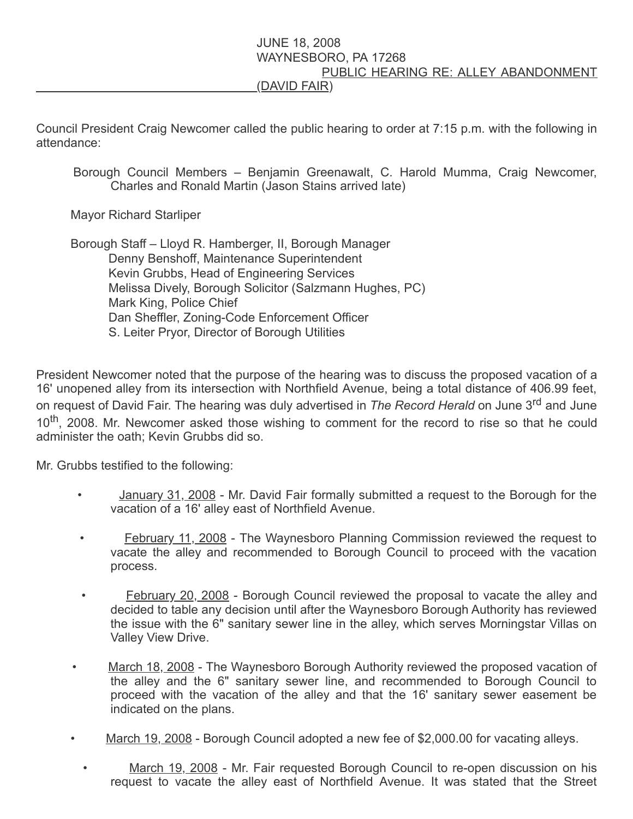## JUNE 18, 2008 WAYNESBORO, PA 17268 PUBLIC HEARING RE: ALLEY ABANDONMENT (DAVID FAIR)

Council President Craig Newcomer called the public hearing to order at 7:15 p.m. with the following in attendance:

Borough Council Members – Benjamin Greenawalt, C. Harold Mumma, Craig Newcomer, Charles and Ronald Martin (Jason Stains arrived late)

Mayor Richard Starliper

 Borough Staff – Lloyd R. Hamberger, II, Borough Manager Denny Benshoff, Maintenance Superintendent Kevin Grubbs, Head of Engineering Services Melissa Dively, Borough Solicitor (Salzmann Hughes, PC) Mark King, Police Chief Dan Sheffler, Zoning-Code Enforcement Officer S. Leiter Pryor, Director of Borough Utilities

President Newcomer noted that the purpose of the hearing was to discuss the proposed vacation of a 16' unopened alley from its intersection with Northfield Avenue, being a total distance of 406.99 feet, on request of David Fair. The hearing was duly advertised in The Record Herald on June 3<sup>rd</sup> and June 10<sup>th</sup>, 2008. Mr. Newcomer asked those wishing to comment for the record to rise so that he could administer the oath; Kevin Grubbs did so.

Mr. Grubbs testified to the following:

- January 31, 2008 Mr. David Fair formally submitted a request to the Borough for the vacation of a 16' alley east of Northfield Avenue.
- February 11, 2008 The Waynesboro Planning Commission reviewed the request to vacate the alley and recommended to Borough Council to proceed with the vacation process.
- February 20, 2008 Borough Council reviewed the proposal to vacate the alley and decided to table any decision until after the Waynesboro Borough Authority has reviewed the issue with the 6" sanitary sewer line in the alley, which serves Morningstar Villas on Valley View Drive.
- March 18, 2008 The Waynesboro Borough Authority reviewed the proposed vacation of the alley and the 6" sanitary sewer line, and recommended to Borough Council to proceed with the vacation of the alley and that the 16' sanitary sewer easement be indicated on the plans.
- March 19, 2008 Borough Council adopted a new fee of \$2,000.00 for vacating alleys.
	- March 19, 2008 Mr. Fair requested Borough Council to re-open discussion on his request to vacate the alley east of Northfield Avenue. It was stated that the Street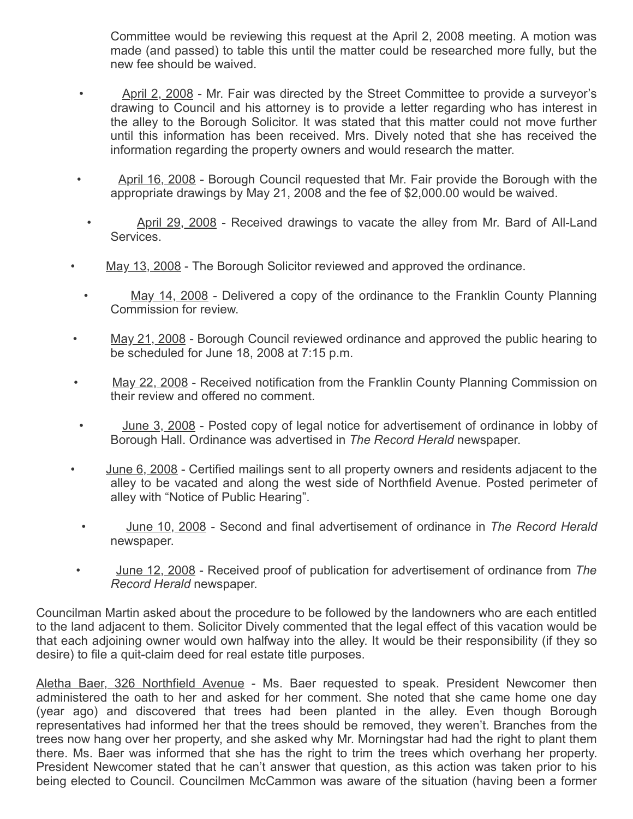Committee would be reviewing this request at the April 2, 2008 meeting. A motion was made (and passed) to table this until the matter could be researched more fully, but the new fee should be waived.

- April 2, 2008 Mr. Fair was directed by the Street Committee to provide a surveyor's drawing to Council and his attorney is to provide a letter regarding who has interest in the alley to the Borough Solicitor. It was stated that this matter could not move further until this information has been received. Mrs. Dively noted that she has received the information regarding the property owners and would research the matter.
- April 16, 2008 Borough Council requested that Mr. Fair provide the Borough with the appropriate drawings by May 21, 2008 and the fee of \$2,000.00 would be waived.
- April 29, 2008 Received drawings to vacate the alley from Mr. Bard of All-Land Services.
- May 13, 2008 The Borough Solicitor reviewed and approved the ordinance.
	- May 14, 2008 Delivered a copy of the ordinance to the Franklin County Planning Commission for review.
- May 21, 2008 Borough Council reviewed ordinance and approved the public hearing to be scheduled for June 18, 2008 at 7:15 p.m.
- May 22, 2008 Received notification from the Franklin County Planning Commission on their review and offered no comment.
- June 3, 2008 Posted copy of legal notice for advertisement of ordinance in lobby of Borough Hall. Ordinance was advertised in The Record Herald newspaper.
- June 6, 2008 Certified mailings sent to all property owners and residents adjacent to the alley to be vacated and along the west side of Northfield Avenue. Posted perimeter of alley with "Notice of Public Hearing".
- June 10, 2008 Second and final advertisement of ordinance in The Record Herald newspaper.
- June 12, 2008 Received proof of publication for advertisement of ordinance from The Record Herald newspaper.

Councilman Martin asked about the procedure to be followed by the landowners who are each entitled to the land adjacent to them. Solicitor Dively commented that the legal effect of this vacation would be that each adjoining owner would own halfway into the alley. It would be their responsibility (if they so desire) to file a quit-claim deed for real estate title purposes.

Aletha Baer, 326 Northfield Avenue - Ms. Baer requested to speak. President Newcomer then administered the oath to her and asked for her comment. She noted that she came home one day (year ago) and discovered that trees had been planted in the alley. Even though Borough representatives had informed her that the trees should be removed, they weren't. Branches from the trees now hang over her property, and she asked why Mr. Morningstar had had the right to plant them there. Ms. Baer was informed that she has the right to trim the trees which overhang her property. President Newcomer stated that he can't answer that question, as this action was taken prior to his being elected to Council. Councilmen McCammon was aware of the situation (having been a former